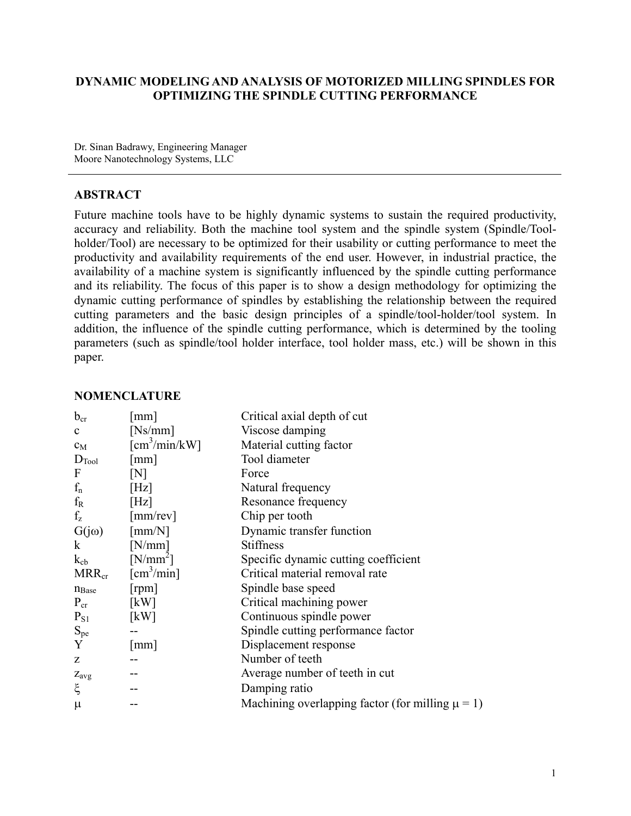### **DYNAMIC MODELING AND ANALYSIS OF MOTORIZED MILLING SPINDLES FOR OPTIMIZING THE SPINDLE CUTTING PERFORMANCE**

Dr. Sinan Badrawy, Engineering Manager Moore Nanotechnology Systems, LLC

### **ABSTRACT**

Future machine tools have to be highly dynamic systems to sustain the required productivity, accuracy and reliability. Both the machine tool system and the spindle system (Spindle/Toolholder/Tool) are necessary to be optimized for their usability or cutting performance to meet the productivity and availability requirements of the end user. However, in industrial practice, the availability of a machine system is significantly influenced by the spindle cutting performance and its reliability. The focus of this paper is to show a design methodology for optimizing the dynamic cutting performance of spindles by establishing the relationship between the required cutting parameters and the basic design principles of a spindle/tool-holder/tool system. In addition, the influence of the spindle cutting performance, which is determined by the tooling parameters (such as spindle/tool holder interface, tool holder mass, etc.) will be shown in this paper.

#### **NOMENCLATURE**

| $b_{cr}$          | $\lceil$ mm $\rceil$                | Critical axial depth of cut                           |
|-------------------|-------------------------------------|-------------------------------------------------------|
| $\mathbf{c}$      | [Ns/mm]                             | Viscose damping                                       |
| $c_M$             | $\text{[cm}^3/\text{min}/\text{kW}$ | Material cutting factor                               |
| $D_{\text{Tool}}$ | $\lceil$ mm $\rceil$                | Tool diameter                                         |
| F                 | [N]                                 | Force                                                 |
| $f_n$             | [Hz]                                | Natural frequency                                     |
| $f_{R}$           | [Hz]                                | Resonance frequency                                   |
| $f_{z}$           | ${\rm [mm/rev]}$                    | Chip per tooth                                        |
| $G(j\omega)$      | $\lceil mm/N \rceil$                | Dynamic transfer function                             |
| $\bf k$           | [N/mm]                              | <b>Stiffness</b>                                      |
| $k_{cb}$          | $[N/mm^2]$                          | Specific dynamic cutting coefficient                  |
| $MRR_{cr}$        | $[\text{cm}^3/\text{min}]$          | Critical material removal rate                        |
| $n_{Base}$        | [ <i>rpm</i> ]                      | Spindle base speed                                    |
| $P_{cr}$          | [kW]                                | Critical machining power                              |
| $P_{S1}$          | [kW]                                | Continuous spindle power                              |
| $S_{pe}$          | $-$                                 | Spindle cutting performance factor                    |
| Y                 | mm                                  | Displacement response                                 |
| Z                 |                                     | Number of teeth                                       |
| $Z_{avg}$         | $- -$                               | Average number of teeth in cut                        |
| ξ                 |                                     | Damping ratio                                         |
| $\mu$             |                                     | Machining overlapping factor (for milling $\mu = 1$ ) |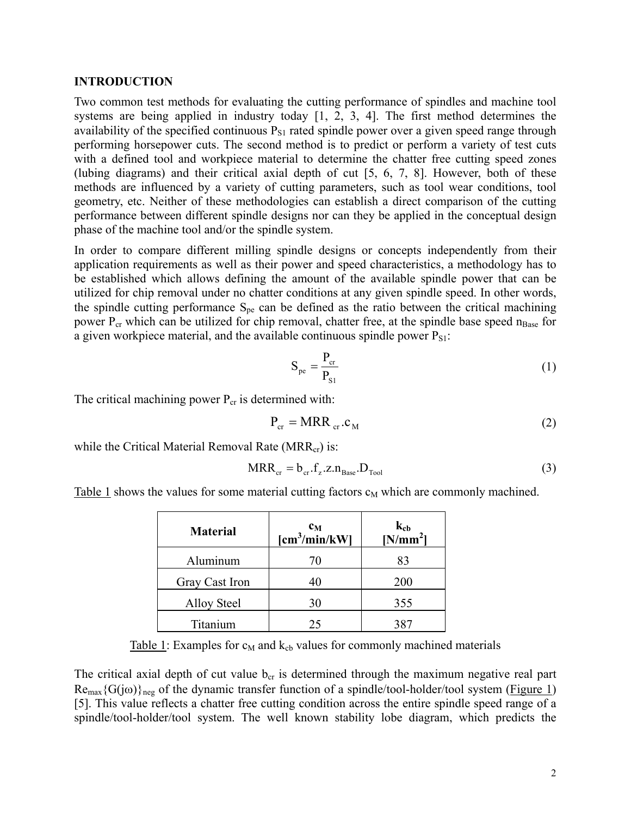#### **INTRODUCTION**

Two common test methods for evaluating the cutting performance of spindles and machine tool systems are being applied in industry today [1, 2, 3, 4]. The first method determines the availability of the specified continuous  $P_{S1}$  rated spindle power over a given speed range through performing horsepower cuts. The second method is to predict or perform a variety of test cuts with a defined tool and workpiece material to determine the chatter free cutting speed zones (lubing diagrams) and their critical axial depth of cut [5, 6, 7, 8]. However, both of these methods are influenced by a variety of cutting parameters, such as tool wear conditions, tool geometry, etc. Neither of these methodologies can establish a direct comparison of the cutting performance between different spindle designs nor can they be applied in the conceptual design phase of the machine tool and/or the spindle system.

In order to compare different milling spindle designs or concepts independently from their application requirements as well as their power and speed characteristics, a methodology has to be established which allows defining the amount of the available spindle power that can be utilized for chip removal under no chatter conditions at any given spindle speed. In other words, the spindle cutting performance  $S_{pe}$  can be defined as the ratio between the critical machining power  $P_{cr}$  which can be utilized for chip removal, chatter free, at the spindle base speed  $n_{Base}$  for a given workpiece material, and the available continuous spindle power  $P_{S1}$ :

$$
S_{pe} = \frac{P_{cr}}{P_{S1}}\tag{1}
$$

The critical machining power  $P_{cr}$  is determined with:

$$
P_{cr} = MRR_{cr}.c_M
$$
 (2)

while the Critical Material Removal Rate ( $MRR_{cr}$ ) is:

$$
MRR_{cr} = b_{cr}.f_z.z.n_{Base}.D_{Tool}
$$
 (3)

Table 1 shows the values for some material cutting factors  $c_M$  which are commonly machined.

| <b>Material</b>    | $c_M$<br>$[\text{cm}^3/\text{min}/\text{kW}]$ | $k_{cb}$<br>[N/mm <sup>2</sup> ] |
|--------------------|-----------------------------------------------|----------------------------------|
| Aluminum           | 70                                            | 83                               |
| Gray Cast Iron     | 40                                            | 200                              |
| <b>Alloy Steel</b> | 30                                            | 355                              |
| Titanium           | 25                                            | 387                              |

Table 1: Examples for  $c_M$  and  $k_{cb}$  values for commonly machined materials

The critical axial depth of cut value  $b_{cr}$  is determined through the maximum negative real part  $\text{Re}_{\text{max}}\{G(j\omega)\}_{\text{neg}}$  of the dynamic transfer function of a spindle/tool-holder/tool system (Figure 1) [5]. This value reflects a chatter free cutting condition across the entire spindle speed range of a spindle/tool-holder/tool system. The well known stability lobe diagram, which predicts the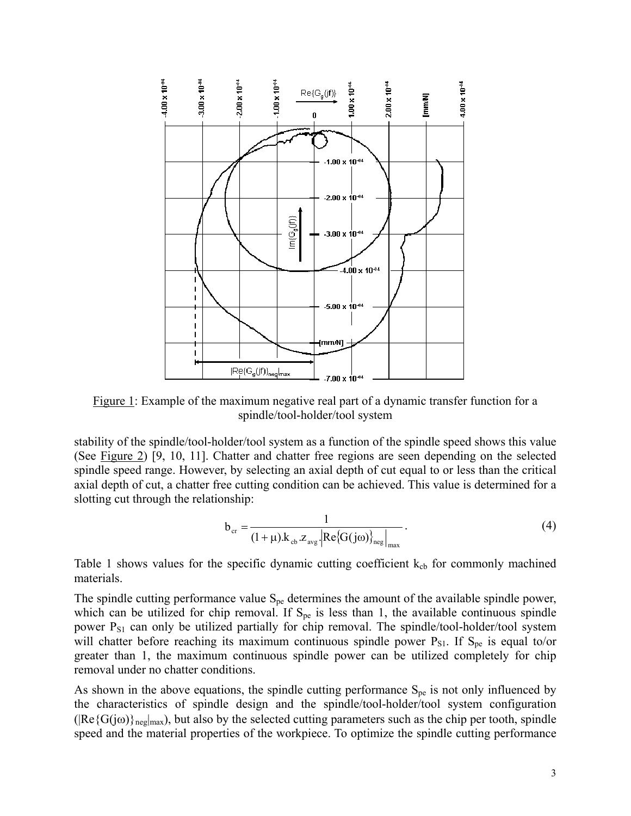

Figure 1: Example of the maximum negative real part of a dynamic transfer function for a spindle/tool-holder/tool system

stability of the spindle/tool-holder/tool system as a function of the spindle speed shows this value (See Figure 2) [9, 10, 11]. Chatter and chatter free regions are seen depending on the selected spindle speed range. However, by selecting an axial depth of cut equal to or less than the critical axial depth of cut, a chatter free cutting condition can be achieved. This value is determined for a slotting cut through the relationship:

$$
b_{cr} = \frac{1}{(1+\mu) \cdot k_{cb} \cdot z_{avg} \cdot \left| \text{Re} \{ G(j\omega) \} \right|_{\text{neg}} \right|_{\text{max}}}.
$$
 (4)

Table 1 shows values for the specific dynamic cutting coefficient  $k_{cb}$  for commonly machined materials.

The spindle cutting performance value  $S_{pe}$  determines the amount of the available spindle power, which can be utilized for chip removal. If  $S_{pe}$  is less than 1, the available continuous spindle power  $P_{S1}$  can only be utilized partially for chip removal. The spindle/tool-holder/tool system will chatter before reaching its maximum continuous spindle power  $P_{S1}$ . If  $S_{pe}$  is equal to/or greater than 1, the maximum continuous spindle power can be utilized completely for chip removal under no chatter conditions.

As shown in the above equations, the spindle cutting performance  $S_{pe}$  is not only influenced by the characteristics of spindle design and the spindle/tool-holder/tool system configuration  $(|Re{G(j\omega)}_{\text{neg}}|_{\text{max}})$ , but also by the selected cutting parameters such as the chip per tooth, spindle speed and the material properties of the workpiece. To optimize the spindle cutting performance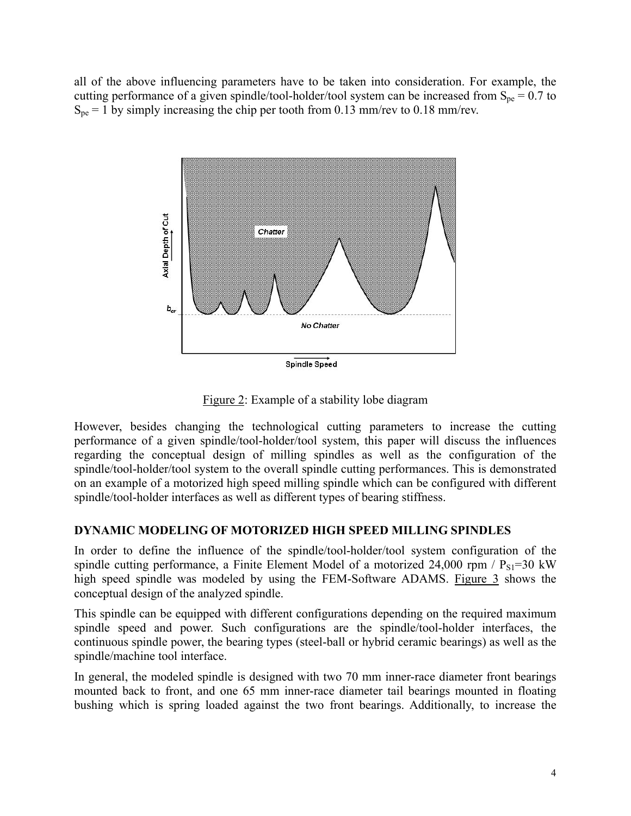all of the above influencing parameters have to be taken into consideration. For example, the cutting performance of a given spindle/tool-holder/tool system can be increased from  $S_{pe} = 0.7$  to  $S_{pe} = 1$  by simply increasing the chip per tooth from 0.13 mm/rev to 0.18 mm/rev.



Figure 2: Example of a stability lobe diagram

However, besides changing the technological cutting parameters to increase the cutting performance of a given spindle/tool-holder/tool system, this paper will discuss the influences regarding the conceptual design of milling spindles as well as the configuration of the spindle/tool-holder/tool system to the overall spindle cutting performances. This is demonstrated on an example of a motorized high speed milling spindle which can be configured with different spindle/tool-holder interfaces as well as different types of bearing stiffness.

# **DYNAMIC MODELING OF MOTORIZED HIGH SPEED MILLING SPINDLES**

In order to define the influence of the spindle/tool-holder/tool system configuration of the spindle cutting performance, a Finite Element Model of a motorized 24,000 rpm /  $P_{S1}$ =30 kW high speed spindle was modeled by using the FEM-Software ADAMS. Figure 3 shows the conceptual design of the analyzed spindle.

This spindle can be equipped with different configurations depending on the required maximum spindle speed and power. Such configurations are the spindle/tool-holder interfaces, the continuous spindle power, the bearing types (steel-ball or hybrid ceramic bearings) as well as the spindle/machine tool interface.

In general, the modeled spindle is designed with two 70 mm inner-race diameter front bearings mounted back to front, and one 65 mm inner-race diameter tail bearings mounted in floating bushing which is spring loaded against the two front bearings. Additionally, to increase the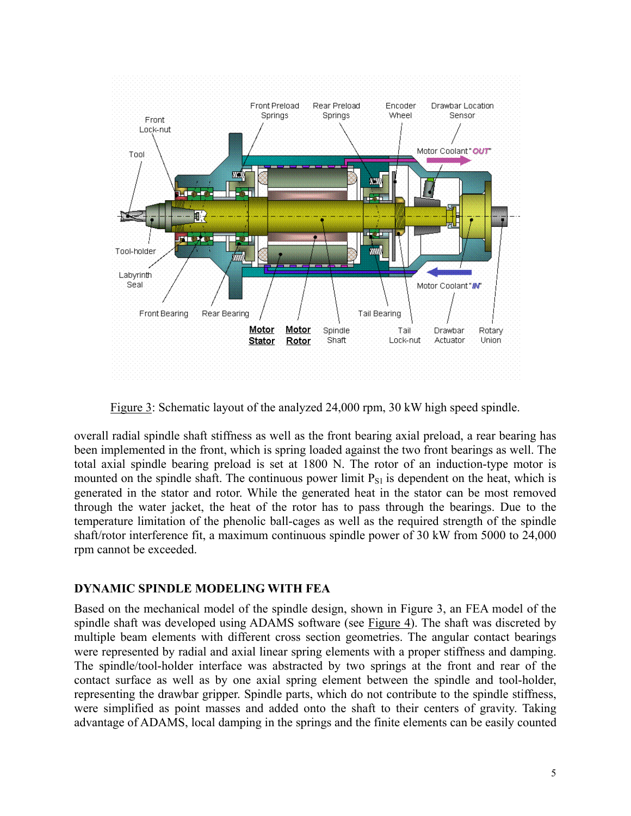

Figure 3: Schematic layout of the analyzed 24,000 rpm, 30 kW high speed spindle.

overall radial spindle shaft stiffness as well as the front bearing axial preload, a rear bearing has been implemented in the front, which is spring loaded against the two front bearings as well. The total axial spindle bearing preload is set at 1800 N. The rotor of an induction-type motor is mounted on the spindle shaft. The continuous power limit  $P_{S1}$  is dependent on the heat, which is generated in the stator and rotor. While the generated heat in the stator can be most removed through the water jacket, the heat of the rotor has to pass through the bearings. Due to the temperature limitation of the phenolic ball-cages as well as the required strength of the spindle shaft/rotor interference fit, a maximum continuous spindle power of 30 kW from 5000 to 24,000 rpm cannot be exceeded.

# **DYNAMIC SPINDLE MODELING WITH FEA**

Based on the mechanical model of the spindle design, shown in Figure 3, an FEA model of the spindle shaft was developed using ADAMS software (see Figure 4). The shaft was discreted by multiple beam elements with different cross section geometries. The angular contact bearings were represented by radial and axial linear spring elements with a proper stiffness and damping. The spindle/tool-holder interface was abstracted by two springs at the front and rear of the contact surface as well as by one axial spring element between the spindle and tool-holder, representing the drawbar gripper. Spindle parts, which do not contribute to the spindle stiffness, were simplified as point masses and added onto the shaft to their centers of gravity. Taking advantage of ADAMS, local damping in the springs and the finite elements can be easily counted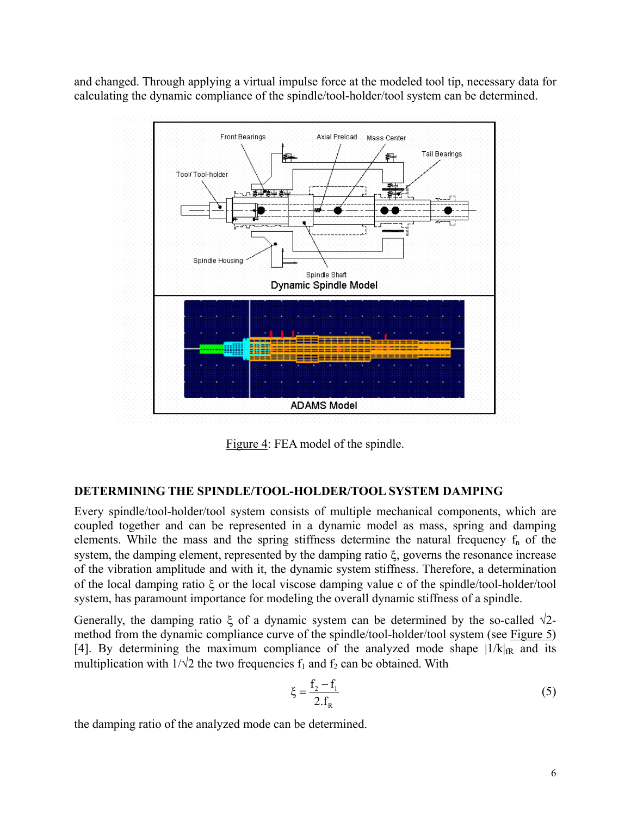and changed. Through applying a virtual impulse force at the modeled tool tip, necessary data for calculating the dynamic compliance of the spindle/tool-holder/tool system can be determined.



Figure 4: FEA model of the spindle.

# **DETERMINING THE SPINDLE/TOOL-HOLDER/TOOL SYSTEM DAMPING**

Every spindle/tool-holder/tool system consists of multiple mechanical components, which are coupled together and can be represented in a dynamic model as mass, spring and damping elements. While the mass and the spring stiffness determine the natural frequency  $f_n$  of the system, the damping element, represented by the damping ratio ξ, governs the resonance increase of the vibration amplitude and with it, the dynamic system stiffness. Therefore, a determination of the local damping ratio ξ or the local viscose damping value c of the spindle/tool-holder/tool system, has paramount importance for modeling the overall dynamic stiffness of a spindle.

Generally, the damping ratio  $\xi$  of a dynamic system can be determined by the so-called  $\sqrt{2}$ method from the dynamic compliance curve of the spindle/tool-holder/tool system (see Figure 5) [4]. By determining the maximum compliance of the analyzed mode shape  $|1/k|_{\text{fR}}$  and its multiplication with  $1/\sqrt{2}$  the two frequencies  $f_1$  and  $f_2$  can be obtained. With

$$
\xi = \frac{f_2 - f_1}{2.f_R} \tag{5}
$$

the damping ratio of the analyzed mode can be determined.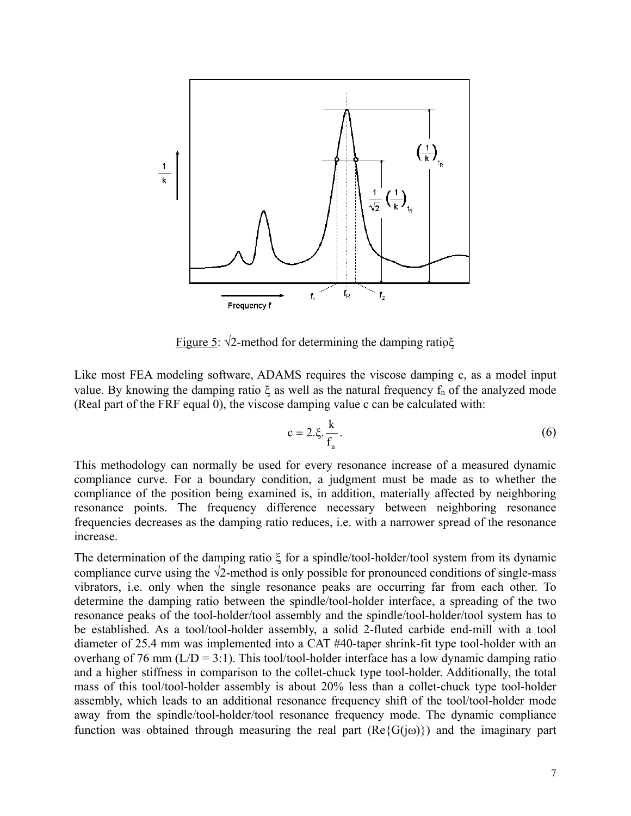

Figure 5:  $\sqrt{2}$ -method for determining the damping ratio $\xi$ 

Like most FEA modeling software, ADAMS requires the viscose damping c, as a model input value. By knowing the damping ratio  $\xi$  as well as the natural frequency  $f_n$  of the analyzed mode (Real part of the FRF equal 0), the viscose damping value c can be calculated with:

$$
c = 2.\xi. \frac{k}{f_n}.
$$

This methodology can normally be used for every resonance increase of a measured dynamic compliance curve. For a boundary condition, a judgment must be made as to whether the compliance of the position being examined is, in addition, materially affected by neighboring resonance points. The frequency difference necessary between neighboring resonance frequencies decreases as the damping ratio reduces, i.e. with a narrower spread of the resonance increase.

The determination of the damping ratio ξ for a spindle/tool-holder/tool system from its dynamic compliance curve using the  $\sqrt{2}$ -method is only possible for pronounced conditions of single-mass vibrators, i.e. only when the single resonance peaks are occurring far from each other. To determine the damping ratio between the spindle/tool-holder interface, a spreading of the two resonance peaks of the tool-holder/tool assembly and the spindle/tool-holder/tool system has to be established. As a tool/tool-holder assembly, a solid 2-fluted carbide end-mill with a tool diameter of 25.4 mm was implemented into a CAT #40-taper shrink-fit type tool-holder with an overhang of 76 mm  $(L/D = 3:1)$ . This tool/tool-holder interface has a low dynamic damping ratio and a higher stiffness in comparison to the collet-chuck type tool-holder. Additionally, the total mass of this tool/tool-holder assembly is about 20% less than a collet-chuck type tool-holder assembly, which leads to an additional resonance frequency shift of the tool/tool-holder mode away from the spindle/tool-holder/tool resonance frequency mode. The dynamic compliance function was obtained through measuring the real part  $(Re{G(i\omega)})$  and the imaginary part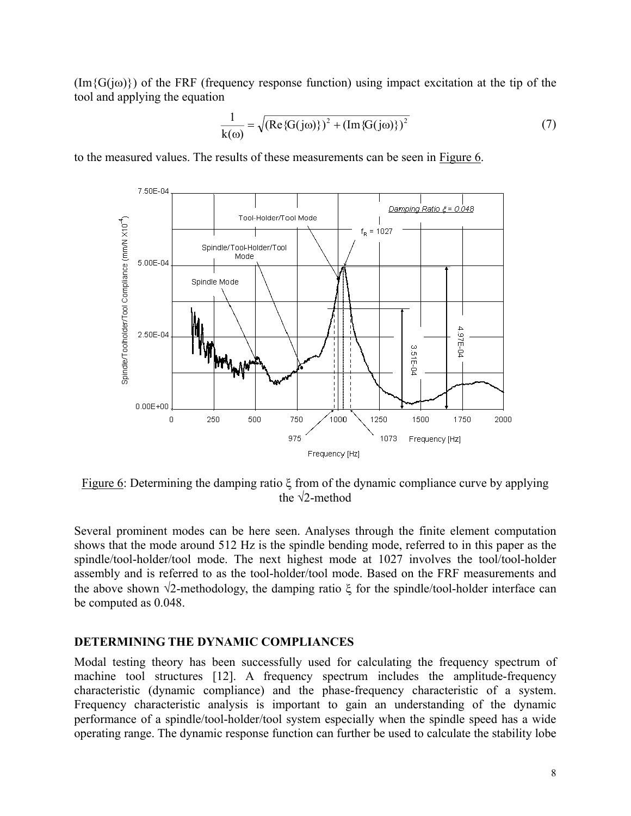$(\text{Im}\{G(i\omega)\})$  of the FRF (frequency response function) using impact excitation at the tip of the tool and applying the equation

$$
\frac{1}{k(\omega)} = \sqrt{(Re\{G(j\omega)\})^2 + (Im\{G(j\omega)\})^2}
$$
(7)

to the measured values. The results of these measurements can be seen in Figure 6.



Figure 6: Determining the damping ratio ξ from of the dynamic compliance curve by applying the  $\sqrt{2}$ -method

Several prominent modes can be here seen. Analyses through the finite element computation shows that the mode around 512 Hz is the spindle bending mode, referred to in this paper as the spindle/tool-holder/tool mode. The next highest mode at 1027 involves the tool/tool-holder assembly and is referred to as the tool-holder/tool mode. Based on the FRF measurements and the above shown  $\sqrt{2}$ -methodology, the damping ratio  $\xi$  for the spindle/tool-holder interface can be computed as 0.048.

### **DETERMINING THE DYNAMIC COMPLIANCES**

Modal testing theory has been successfully used for calculating the frequency spectrum of machine tool structures [12]. A frequency spectrum includes the amplitude-frequency characteristic (dynamic compliance) and the phase-frequency characteristic of a system. Frequency characteristic analysis is important to gain an understanding of the dynamic performance of a spindle/tool-holder/tool system especially when the spindle speed has a wide operating range. The dynamic response function can further be used to calculate the stability lobe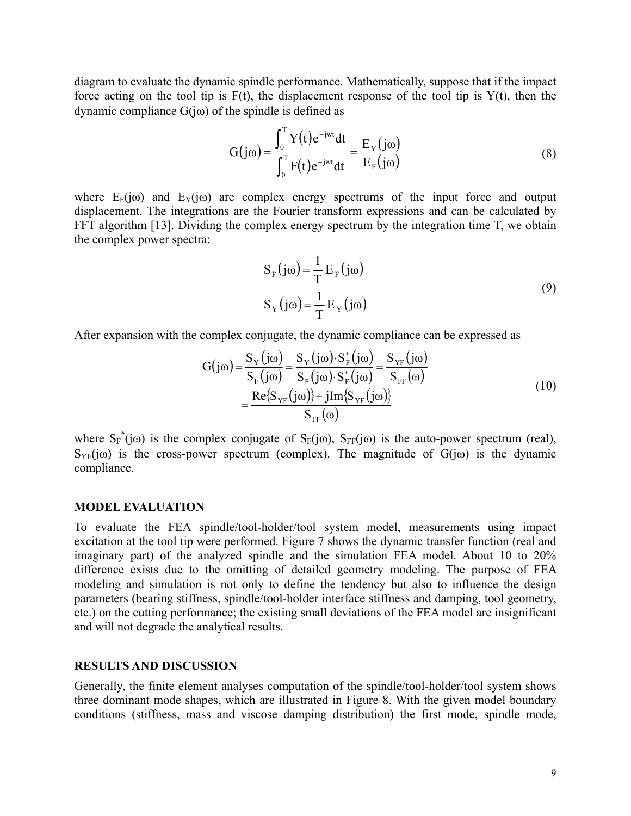diagram to evaluate the dynamic spindle performance. Mathematically, suppose that if the impact force acting on the tool tip is  $F(t)$ , the displacement response of the tool tip is  $Y(t)$ , then the dynamic compliance  $G(i\omega)$  of the spindle is defined as

$$
G(j\omega) = \frac{\int_0^T Y(t)e^{-jwt}dt}{\int_0^T F(t)e^{-jwt}dt} = \frac{E_Y(j\omega)}{E_F(j\omega)}
$$
(8)

where  $E_F(j\omega)$  and  $E_Y(j\omega)$  are complex energy spectrums of the input force and output displacement. The integrations are the Fourier transform expressions and can be calculated by FFT algorithm [13]. Dividing the complex energy spectrum by the integration time T, we obtain the complex power spectra:

$$
S_{F}(j\omega) = \frac{1}{T} E_{F}(j\omega)
$$
  
\n
$$
S_{Y}(j\omega) = \frac{1}{T} E_{Y}(j\omega)
$$
\n(9)

After expansion with the complex conjugate, the dynamic compliance can be expressed as

$$
G(j\omega) = \frac{S_{Y}(j\omega)}{S_{F}(j\omega)} = \frac{S_{Y}(j\omega) \cdot S_{F}^{*}(j\omega)}{S_{F}(j\omega) \cdot S_{F}^{*}(j\omega)} = \frac{S_{YF}(j\omega)}{S_{FF}(\omega)}
$$
  
= 
$$
\frac{Re\{S_{YF}(j\omega)\} + jIm\{S_{YF}(j\omega)\}}{S_{FF}(\omega)}
$$
(10)

∗ ∤ ∗ ∗ ∗ ∗ ∗

where  $S_F^*(j\omega)$  is the complex conjugate of  $S_F(j\omega)$ ,  $S_{FF}(j\omega)$  is the auto-power spectrum (real),  $S_{YF}(i\omega)$  is the cross-power spectrum (complex). The magnitude of  $G(i\omega)$  is the dynamic compliance.

#### **MODEL EVALUATION**

To evaluate the FEA spindle/tool-holder/tool system model, measurements using impact excitation at the tool tip were performed. Figure 7 shows the dynamic transfer function (real and imaginary part) of the analyzed spindle and the simulation FEA model. About 10 to 20% difference exists due to the omitting of detailed geometry modeling. The purpose of FEA modeling and simulation is not only to define the tendency but also to influence the design parameters (bearing stiffness, spindle/tool-holder interface stiffness and damping, tool geometry, etc.) on the cutting performance; the existing small deviations of the FEA model are insignificant and will not degrade the analytical results.

#### **RESULTS AND DISCUSSION**

Generally, the finite element analyses computation of the spindle/tool-holder/tool system shows three dominant mode shapes, which are illustrated in Figure 8. With the given model boundary conditions (stiffness, mass and viscose damping distribution) the first mode, spindle mode,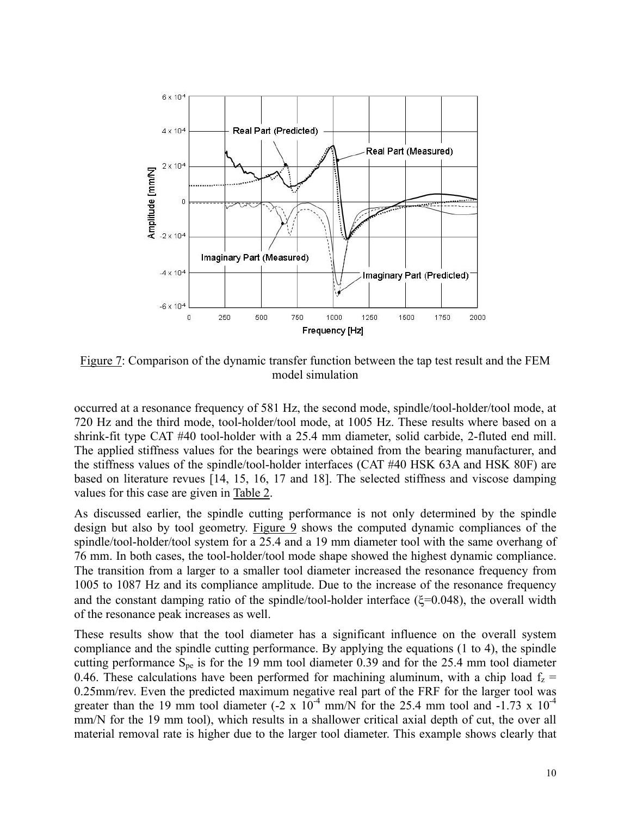

Figure 7: Comparison of the dynamic transfer function between the tap test result and the FEM model simulation

occurred at a resonance frequency of 581 Hz, the second mode, spindle/tool-holder/tool mode, at 720 Hz and the third mode, tool-holder/tool mode, at 1005 Hz. These results where based on a shrink-fit type CAT #40 tool-holder with a 25.4 mm diameter, solid carbide, 2-fluted end mill. The applied stiffness values for the bearings were obtained from the bearing manufacturer, and the stiffness values of the spindle/tool-holder interfaces (CAT #40 HSK 63A and HSK 80F) are based on literature revues [14, 15, 16, 17 and 18]. The selected stiffness and viscose damping values for this case are given in Table 2.

As discussed earlier, the spindle cutting performance is not only determined by the spindle design but also by tool geometry. Figure 9 shows the computed dynamic compliances of the spindle/tool-holder/tool system for a 25.4 and a 19 mm diameter tool with the same overhang of 76 mm. In both cases, the tool-holder/tool mode shape showed the highest dynamic compliance. The transition from a larger to a smaller tool diameter increased the resonance frequency from 1005 to 1087 Hz and its compliance amplitude. Due to the increase of the resonance frequency and the constant damping ratio of the spindle/tool-holder interface  $(\xi=0.048)$ , the overall width of the resonance peak increases as well.

These results show that the tool diameter has a significant influence on the overall system compliance and the spindle cutting performance. By applying the equations (1 to 4), the spindle cutting performance  $S_{\text{pe}}$  is for the 19 mm tool diameter 0.39 and for the 25.4 mm tool diameter 0.46. These calculations have been performed for machining aluminum, with a chip load  $f<sub>z</sub>$  = 0.25mm/rev. Even the predicted maximum negative real part of the FRF for the larger tool was greater than the 19 mm tool diameter  $(-2 \times 10^{-4} \text{ mm/N})$  for the 25.4 mm tool and  $-1.73 \times 10^{-4}$ mm/N for the 19 mm tool), which results in a shallower critical axial depth of cut, the over all material removal rate is higher due to the larger tool diameter. This example shows clearly that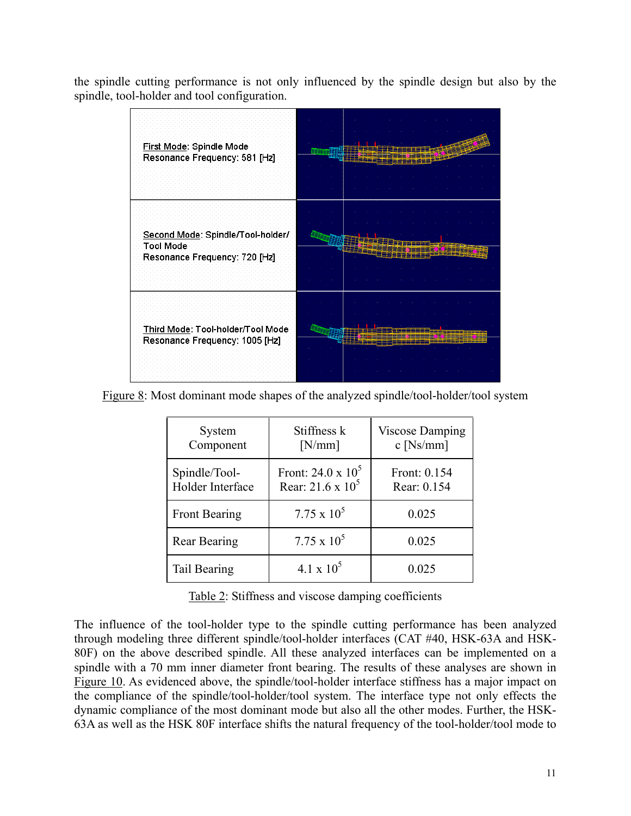the spindle cutting performance is not only influenced by the spindle design but also by the spindle, tool-holder and tool configuration.



Figure 8: Most dominant mode shapes of the analyzed spindle/tool-holder/tool system

| System<br>Component               | Stiffness k<br>[N/mm]                       | <b>Viscose Damping</b><br>$c$ [Ns/mm] |
|-----------------------------------|---------------------------------------------|---------------------------------------|
| Spindle/Tool-<br>Holder Interface | Front: 24.0 x $10^5$<br>Rear: 21.6 x $10^5$ | Front: 0.154<br>Rear: 0.154           |
| Front Bearing                     | $7.75 \times 10^5$                          | 0.025                                 |
| Rear Bearing                      | $7.75 \times 10^5$                          | 0.025                                 |
| Tail Bearing                      | $4.1 \times 10^5$                           | 0.025                                 |

Table 2: Stiffness and viscose damping coefficients

The influence of the tool-holder type to the spindle cutting performance has been analyzed through modeling three different spindle/tool-holder interfaces (CAT #40, HSK-63A and HSK-80F) on the above described spindle. All these analyzed interfaces can be implemented on a spindle with a 70 mm inner diameter front bearing. The results of these analyses are shown in Figure 10. As evidenced above, the spindle/tool-holder interface stiffness has a major impact on the compliance of the spindle/tool-holder/tool system. The interface type not only effects the dynamic compliance of the most dominant mode but also all the other modes. Further, the HSK-63A as well as the HSK 80F interface shifts the natural frequency of the tool-holder/tool mode to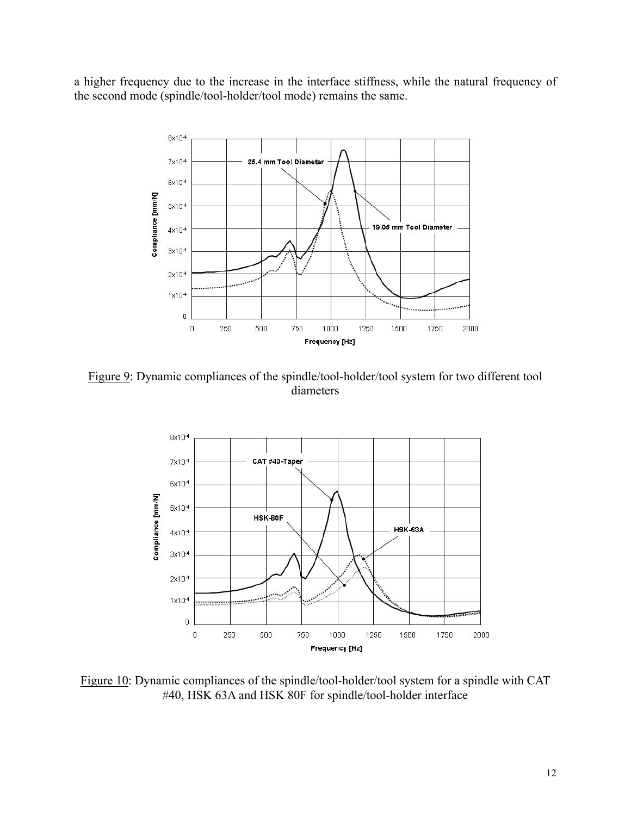a higher frequency due to the increase in the interface stiffness, while the natural frequency of the second mode (spindle/tool-holder/tool mode) remains the same.



Figure 9: Dynamic compliances of the spindle/tool-holder/tool system for two different tool diameters



Figure 10: Dynamic compliances of the spindle/tool-holder/tool system for a spindle with CAT #40, HSK 63A and HSK 80F for spindle/tool-holder interface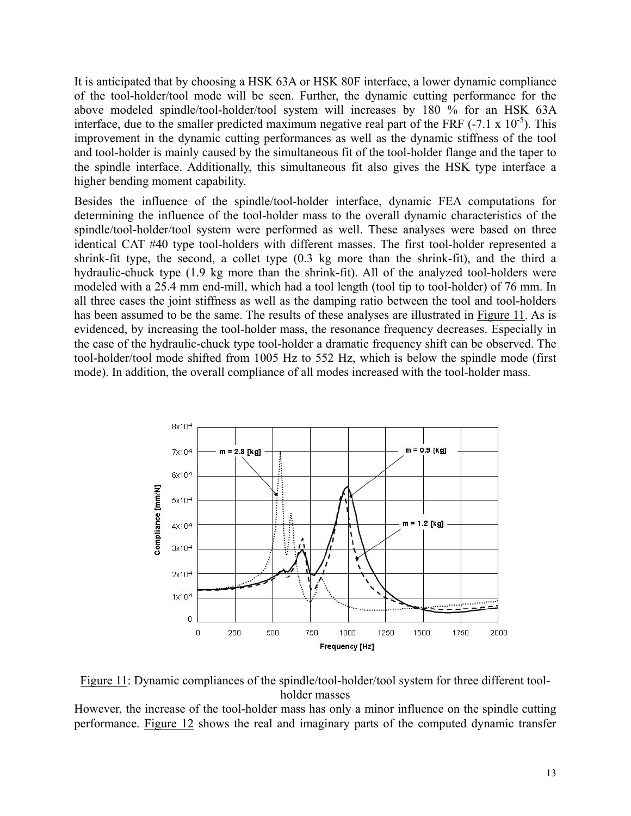It is anticipated that by choosing a HSK 63A or HSK 80F interface, a lower dynamic compliance of the tool-holder/tool mode will be seen. Further, the dynamic cutting performance for the above modeled spindle/tool-holder/tool system will increases by 180 % for an HSK 63A interface, due to the smaller predicted maximum negative real part of the FRF  $(-7.1 \times 10^{-5})$ . This improvement in the dynamic cutting performances as well as the dynamic stiffness of the tool and tool-holder is mainly caused by the simultaneous fit of the tool-holder flange and the taper to the spindle interface. Additionally, this simultaneous fit also gives the HSK type interface a higher bending moment capability.

Besides the influence of the spindle/tool-holder interface, dynamic FEA computations for determining the influence of the tool-holder mass to the overall dynamic characteristics of the spindle/tool-holder/tool system were performed as well. These analyses were based on three identical CAT #40 type tool-holders with different masses. The first tool-holder represented a shrink-fit type, the second, a collet type (0.3 kg more than the shrink-fit), and the third a hydraulic-chuck type (1.9 kg more than the shrink-fit). All of the analyzed tool-holders were modeled with a 25.4 mm end-mill, which had a tool length (tool tip to tool-holder) of 76 mm. In all three cases the joint stiffness as well as the damping ratio between the tool and tool-holders has been assumed to be the same. The results of these analyses are illustrated in Figure 11. As is evidenced, by increasing the tool-holder mass, the resonance frequency decreases. Especially in the case of the hydraulic-chuck type tool-holder a dramatic frequency shift can be observed. The tool-holder/tool mode shifted from 1005 Hz to 552 Hz, which is below the spindle mode (first mode). In addition, the overall compliance of all modes increased with the tool-holder mass.



Figure 11: Dynamic compliances of the spindle/tool-holder/tool system for three different toolholder masses

However, the increase of the tool-holder mass has only a minor influence on the spindle cutting performance. Figure 12 shows the real and imaginary parts of the computed dynamic transfer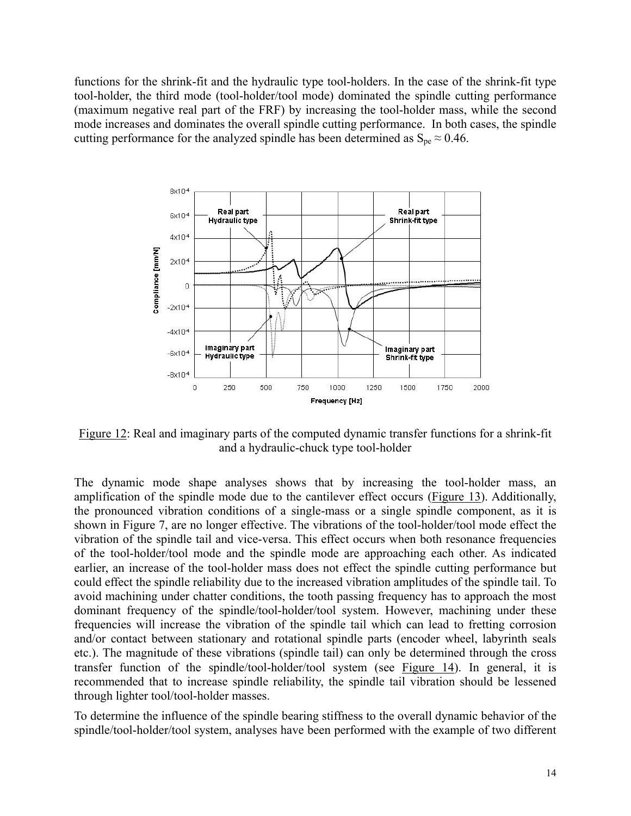functions for the shrink-fit and the hydraulic type tool-holders. In the case of the shrink-fit type tool-holder, the third mode (tool-holder/tool mode) dominated the spindle cutting performance (maximum negative real part of the FRF) by increasing the tool-holder mass, while the second mode increases and dominates the overall spindle cutting performance. In both cases, the spindle cutting performance for the analyzed spindle has been determined as  $S_{\text{ne}} \approx 0.46$ .



Figure 12: Real and imaginary parts of the computed dynamic transfer functions for a shrink-fit and a hydraulic-chuck type tool-holder

The dynamic mode shape analyses shows that by increasing the tool-holder mass, an amplification of the spindle mode due to the cantilever effect occurs (Figure 13). Additionally, the pronounced vibration conditions of a single-mass or a single spindle component, as it is shown in Figure 7, are no longer effective. The vibrations of the tool-holder/tool mode effect the vibration of the spindle tail and vice-versa. This effect occurs when both resonance frequencies of the tool-holder/tool mode and the spindle mode are approaching each other. As indicated earlier, an increase of the tool-holder mass does not effect the spindle cutting performance but could effect the spindle reliability due to the increased vibration amplitudes of the spindle tail. To avoid machining under chatter conditions, the tooth passing frequency has to approach the most dominant frequency of the spindle/tool-holder/tool system. However, machining under these frequencies will increase the vibration of the spindle tail which can lead to fretting corrosion and/or contact between stationary and rotational spindle parts (encoder wheel, labyrinth seals etc.). The magnitude of these vibrations (spindle tail) can only be determined through the cross transfer function of the spindle/tool-holder/tool system (see Figure 14). In general, it is recommended that to increase spindle reliability, the spindle tail vibration should be lessened through lighter tool/tool-holder masses.

To determine the influence of the spindle bearing stiffness to the overall dynamic behavior of the spindle/tool-holder/tool system, analyses have been performed with the example of two different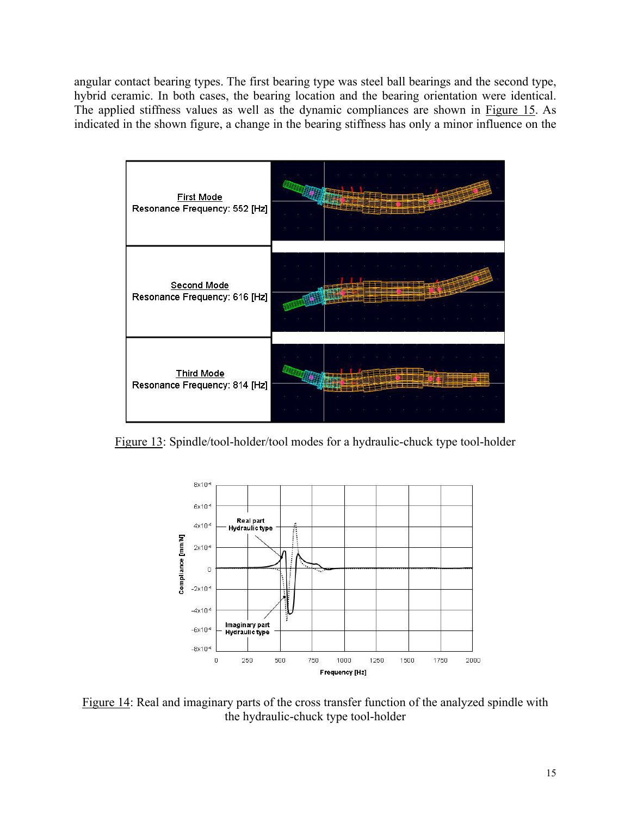angular contact bearing types. The first bearing type was steel ball bearings and the second type, hybrid ceramic. In both cases, the bearing location and the bearing orientation were identical. The applied stiffness values as well as the dynamic compliances are shown in Figure 15. As indicated in the shown figure, a change in the bearing stiffness has only a minor influence on the



Figure 13: Spindle/tool-holder/tool modes for a hydraulic-chuck type tool-holder



Figure 14: Real and imaginary parts of the cross transfer function of the analyzed spindle with the hydraulic-chuck type tool-holder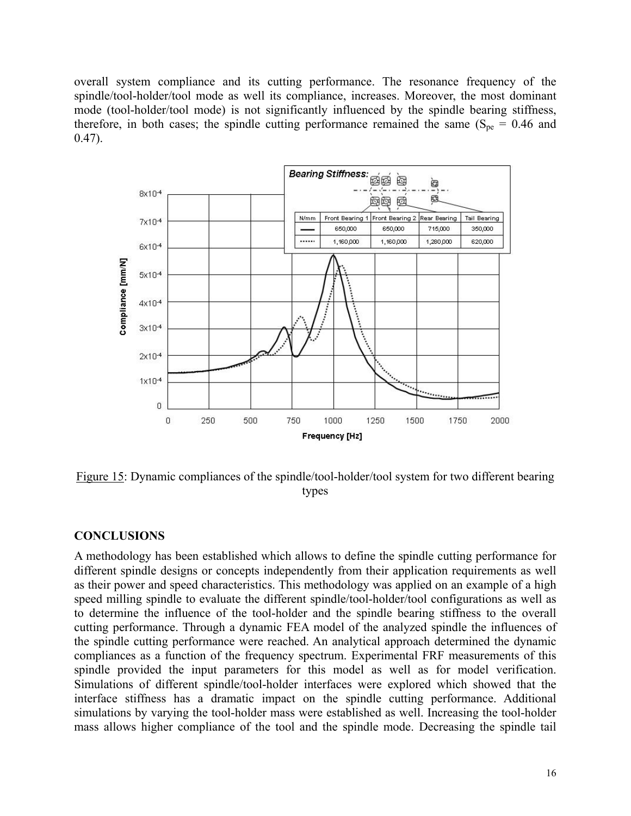overall system compliance and its cutting performance. The resonance frequency of the spindle/tool-holder/tool mode as well its compliance, increases. Moreover, the most dominant mode (tool-holder/tool mode) is not significantly influenced by the spindle bearing stiffness, therefore, in both cases; the spindle cutting performance remained the same ( $S_{pe} = 0.46$  and  $0.47$ ).



Figure 15: Dynamic compliances of the spindle/tool-holder/tool system for two different bearing types

# **CONCLUSIONS**

A methodology has been established which allows to define the spindle cutting performance for different spindle designs or concepts independently from their application requirements as well as their power and speed characteristics. This methodology was applied on an example of a high speed milling spindle to evaluate the different spindle/tool-holder/tool configurations as well as to determine the influence of the tool-holder and the spindle bearing stiffness to the overall cutting performance. Through a dynamic FEA model of the analyzed spindle the influences of the spindle cutting performance were reached. An analytical approach determined the dynamic compliances as a function of the frequency spectrum. Experimental FRF measurements of this spindle provided the input parameters for this model as well as for model verification. Simulations of different spindle/tool-holder interfaces were explored which showed that the interface stiffness has a dramatic impact on the spindle cutting performance. Additional simulations by varying the tool-holder mass were established as well. Increasing the tool-holder mass allows higher compliance of the tool and the spindle mode. Decreasing the spindle tail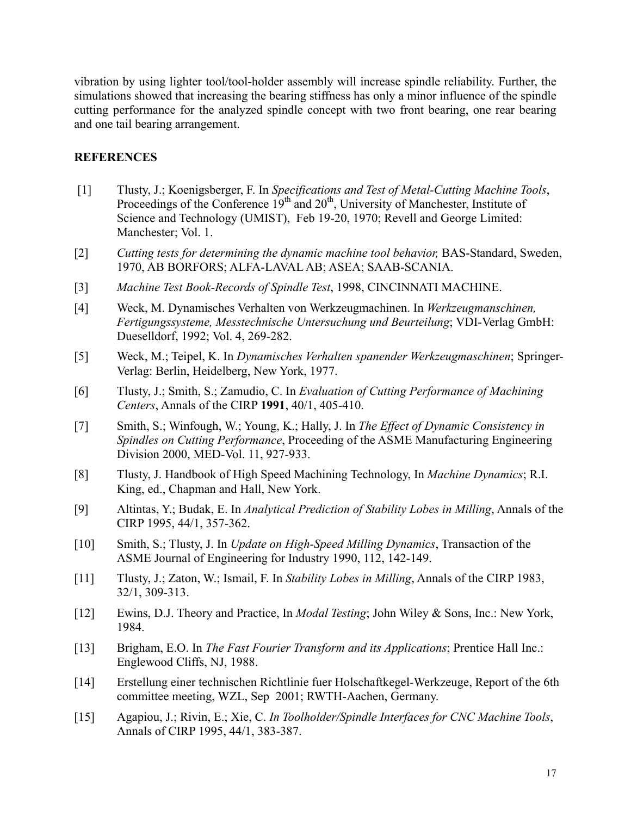vibration by using lighter tool/tool-holder assembly will increase spindle reliability. Further, the simulations showed that increasing the bearing stiffness has only a minor influence of the spindle cutting performance for the analyzed spindle concept with two front bearing, one rear bearing and one tail bearing arrangement.

### **REFERENCES**

- [1] Tlusty, J.; Koenigsberger, F. In *Specifications and Test of Metal-Cutting Machine Tools*, Proceedings of the Conference  $19<sup>th</sup>$  and  $20<sup>th</sup>$ , University of Manchester, Institute of Science and Technology (UMIST), Feb 19-20, 1970; Revell and George Limited: Manchester; Vol. 1.
- [2] *Cutting tests for determining the dynamic machine tool behavior,* BAS-Standard, Sweden, 1970, AB BORFORS; ALFA-LAVAL AB; ASEA; SAAB-SCANIA.
- [3] *Machine Test Book-Records of Spindle Test*, 1998, CINCINNATI MACHINE.
- [4] Weck, M. Dynamisches Verhalten von Werkzeugmachinen. In *Werkzeugmanschinen, Fertigungssysteme, Messtechnische Untersuchung und Beurteilung*; VDI-Verlag GmbH: Dueselldorf, 1992; Vol. 4, 269-282.
- [5] Weck, M.; Teipel, K. In *Dynamisches Verhalten spanender Werkzeugmaschinen*; Springer-Verlag: Berlin, Heidelberg, New York, 1977.
- [6] Tlusty, J.; Smith, S.; Zamudio, C. In *Evaluation of Cutting Performance of Machining Centers*, Annals of the CIRP **1991**, 40/1, 405-410.
- [7] Smith, S.; Winfough, W.; Young, K.; Hally, J. In *The Effect of Dynamic Consistency in Spindles on Cutting Performance*, Proceeding of the ASME Manufacturing Engineering Division 2000, MED-Vol. 11, 927-933.
- [8] Tlusty, J. Handbook of High Speed Machining Technology, In *Machine Dynamics*; R.I. King, ed., Chapman and Hall, New York.
- [9] Altintas, Y.; Budak, E. In *Analytical Prediction of Stability Lobes in Milling*, Annals of the CIRP 1995, 44/1, 357-362.
- [10] Smith, S.; Tlusty, J. In *Update on High-Speed Milling Dynamics*, Transaction of the ASME Journal of Engineering for Industry 1990, 112, 142-149.
- [11] Tlusty, J.; Zaton, W.; Ismail, F. In *Stability Lobes in Milling*, Annals of the CIRP 1983, 32/1, 309-313.
- [12] Ewins, D.J. Theory and Practice, In *Modal Testing*; John Wiley & Sons, Inc.: New York, 1984.
- [13] Brigham, E.O. In *The Fast Fourier Transform and its Applications*; Prentice Hall Inc.: Englewood Cliffs, NJ, 1988.
- [14] Erstellung einer technischen Richtlinie fuer Holschaftkegel-Werkzeuge, Report of the 6th committee meeting, WZL, Sep 2001; RWTH-Aachen, Germany.
- [15] Agapiou, J.; Rivin, E.; Xie, C. *In Toolholder/Spindle Interfaces for CNC Machine Tools*, Annals of CIRP 1995, 44/1, 383-387.